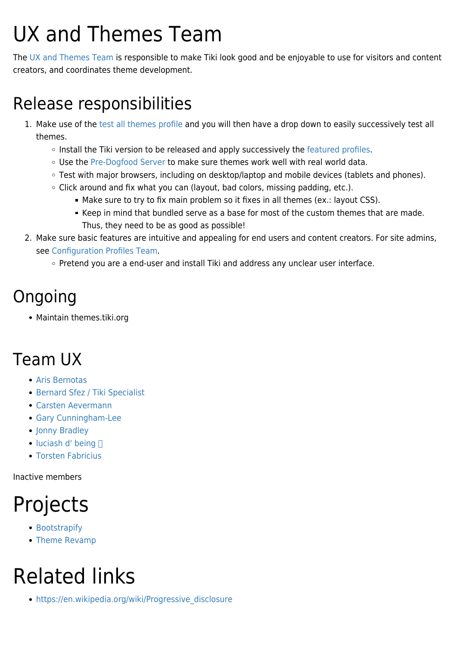## UX and Themes Team

The [UX and Themes Team](https://tiki.org/UX-and-Themes-Team) is responsible to make Tiki look good and be enjoyable to use for visitors and content creators, and coordinates theme development.

#### Release responsibilities

- 1. Make use of the [test all themes profile](http://profiles.tiki.org/Test_All_Themes) and you will then have a drop down to easily successively test all themes.
	- o Install the Tiki version to be released and apply successively the [featured profiles](http://profiles.tiki.org/Profiles_in_installer).
	- o Use the [Pre-Dogfood Server](https://tiki.org/Pre-Dogfood-Server) to make sure themes work well with real world data.
	- Test with major browsers, including on desktop/laptop and mobile devices (tablets and phones).
	- Click around and fix what you can (layout, bad colors, missing padding, etc.).
		- Make sure to try to fix main problem so it fixes in all themes (ex.: layout CSS).
		- Keep in mind that bundled serve as a base for most of the custom themes that are made. Thus, they need to be as good as possible!
- 2. Make sure basic features are intuitive and appealing for end users and content creators. For site admins, see [Configuration Profiles Team](https://tiki.org/Configuration-Profiles-Team).
	- Pretend you are a end-user and install Tiki and address any unclear user interface.

#### Ongoing

Maintain themes.tiki.org

### Team UX

- [Aris Bernotas](https://tiki.org/user9051)
- [Bernard Sfez / Tiki Specialist](https://tiki.org/user1974)
- [Carsten Aevermann](https://tiki.org/user20378)
- [Gary Cunningham-Lee](https://tiki.org/user342)
- [Jonny Bradley](https://tiki.org/user8515)
- $\bullet$  [luciash d' being](https://tiki.org/user199)  $\Box$
- [Torsten Fabricius](https://tiki.org/user19665)

Inactive members

## Projects

- [Bootstrapify](http://themes.tiki.org/Bootstrap)
- [Theme Revamp](http://themes.tiki.org/Theme%20Revamp)

# Related links

• https://en.wikipedia.org/wiki/Progressive disclosure